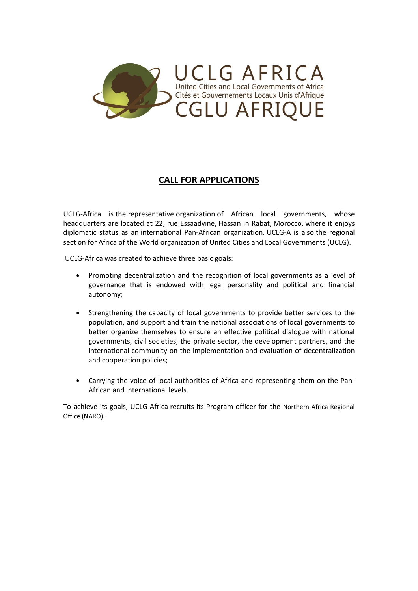

## **CALL FOR APPLICATIONS**

UCLG-Africa is the representative organization of African local governments, whose headquarters are located at 22, rue Essaadyine, Hassan in Rabat, Morocco, where it enjoys diplomatic status as an international Pan-African organization. UCLG-A is also the regional section for Africa of the World organization of United Cities and Local Governments (UCLG).

UCLG-Africa was created to achieve three basic goals:

- Promoting decentralization and the recognition of local governments as a level of governance that is endowed with legal personality and political and financial autonomy;
- Strengthening the capacity of local governments to provide better services to the population, and support and train the national associations of local governments to better organize themselves to ensure an effective political dialogue with national governments, civil societies, the private sector, the development partners, and the international community on the implementation and evaluation of decentralization and cooperation policies;
- Carrying the voice of local authorities of Africa and representing them on the Pan-African and international levels.

To achieve its goals, UCLG-Africa recruits its Program officer for the Northern Africa Regional Office (NARO).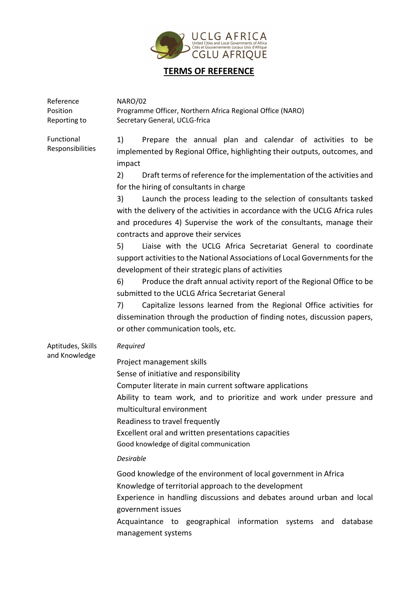

## **TERMS OF REFERENCE**

| Reference<br>Position<br>Reporting to | <b>NARO/02</b><br>Programme Officer, Northern Africa Regional Office (NARO)<br>Secretary General, UCLG-frica                                                                                                                                                                                                                                                                                                                                                                                                                                                                                                                                                                                                                                                                                                                                                                                                                                                                                                                                                                                               |
|---------------------------------------|------------------------------------------------------------------------------------------------------------------------------------------------------------------------------------------------------------------------------------------------------------------------------------------------------------------------------------------------------------------------------------------------------------------------------------------------------------------------------------------------------------------------------------------------------------------------------------------------------------------------------------------------------------------------------------------------------------------------------------------------------------------------------------------------------------------------------------------------------------------------------------------------------------------------------------------------------------------------------------------------------------------------------------------------------------------------------------------------------------|
| Functional<br>Responsibilities        | 1)<br>Prepare the annual plan and calendar of activities to be<br>implemented by Regional Office, highlighting their outputs, outcomes, and<br>impact<br>Draft terms of reference for the implementation of the activities and<br>2)<br>for the hiring of consultants in charge<br>Launch the process leading to the selection of consultants tasked<br>3)<br>with the delivery of the activities in accordance with the UCLG Africa rules<br>and procedures 4) Supervise the work of the consultants, manage their<br>contracts and approve their services<br>5)<br>Liaise with the UCLG Africa Secretariat General to coordinate<br>support activities to the National Associations of Local Governments for the<br>development of their strategic plans of activities<br>Produce the draft annual activity report of the Regional Office to be<br>6)<br>submitted to the UCLG Africa Secretariat General<br>Capitalize lessons learned from the Regional Office activities for<br>7)<br>dissemination through the production of finding notes, discussion papers,<br>or other communication tools, etc. |
| Aptitudes, Skills<br>and Knowledge    | Required<br>Project management skills<br>Sense of initiative and responsibility<br>Computer literate in main current software applications<br>Ability to team work, and to prioritize and work under pressure and<br>multicultural environment<br>Readiness to travel frequently<br>Excellent oral and written presentations capacities<br>Good knowledge of digital communication<br><b>Desirable</b><br>Good knowledge of the environment of local government in Africa<br>Knowledge of territorial approach to the development<br>Experience in handling discussions and debates around urban and local<br>government issues<br>Acquaintance to geographical information systems and<br>database<br>management systems                                                                                                                                                                                                                                                                                                                                                                                  |